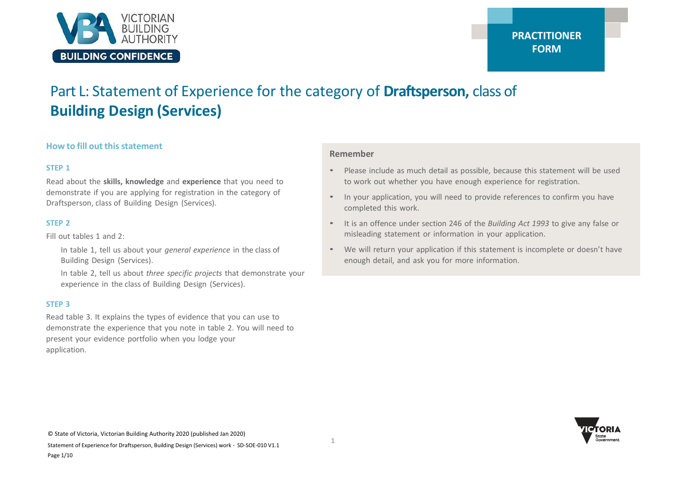

# Part L: Statement of Experience for the category of **Draftsperson,** class of **Building Design (Services)**

#### **How to fill out thisstatement**

#### **STEP 1**

Read about the **skills, knowledge** and **experience** that you need to demonstrate if you are applying for registration in the category of Draftsperson, class of Building Design (Services).

#### **STEP 2**

Fill out tables 1 and 2:

In table 1, tell us about your *general experience* in the class of Building Design (Services).

In table 2, tell us about *three specific projects* that demonstrate your experience in the class of Building Design (Services).

#### **STEP 3**

Read table 3. It explains the types of evidence that you can use to demonstrate the experience that you note in table 2. You will need to present your evidence portfolio when you lodge your application.

#### **Remember**

- Please include as much detail as possible, because this statement will be used to work out whether you have enough experience for registration.
- In your application, you will need to provide references to confirm you have completed this work.
- It is an offence under section 246 of the *Building Act 1993* to give any false or misleading statement or information in your application.
- We will return your application if this statement is incomplete or doesn't have enough detail, and ask you for more information.

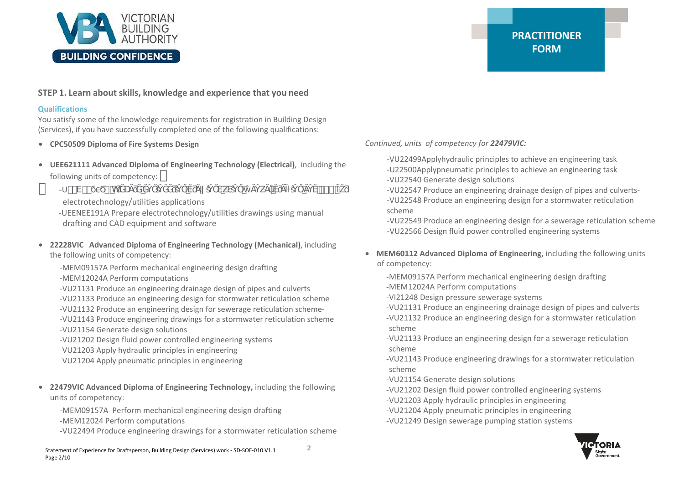

### **STEP 1. Learn about skills, knowledge and experience that you need**

#### **Qualifications**

You satisfy some of the knowledge requirements for registration in Building Design (Services), if you have successfully completed one of the following qualifications:

- **CPC50509 Diploma of Fire Systems Design**
- **UEE621111 Advanced Diploma of Engineering Technology (Electrical)**, including the following units of competency:
- $-U$  -V--  $\bullet$  h
	- electrotechnology/utilities applications
	- -UEENEE191A Prepare electrotechnology/utilities drawings using manual drafting and CAD equipment and software
- **22228VIC Advanced Diploma of Engineering Technology (Mechanical)**, including the following units of competency:

-MEM09157A Perform mechanical engineering design drafting

-MEM12024A Perform computations

-VU21131 Produce an engineering drainage design of pipes and culverts -VU21133 Produce an engineering design for stormwater reticulation scheme -VU21132 Produce an engineering design for sewerage reticulation scheme- -VU21143 Produce engineering drawings for a stormwater reticulation scheme -VU21154 Generate design solutions

-VU21202 Design fluid power controlled engineering systems

- VU21203 Apply hydraulic principles in engineering
- VU21204 Apply pneumatic principles in engineering
- **22479VIC Advanced Diploma of Engineering Technology,** including the following units of competency:

-MEM09157A Perform mechanical engineering design drafting -MEM12024 Perform computations

-VU22494 Produce engineering drawings for a stormwater reticulation scheme

# **PRACTITIONER FORM**

*Continued, units of competency for 22479VIC:*

-VU22499Applyhydraulic principles to achieve an engineering task -U22500Applypneumatic principles to achieve an engineering task -VU22540 Generate design solutions

-VU22547 Produce an engineering drainage design of pipes and culverts- -VU22548 Produce an engineering design for a stormwater reticulation scheme

-VU22549 Produce an engineering design for a sewerage reticulation scheme -VU22566 Design fluid power controlled engineering systems

- **MEM60112 Advanced Diploma of Engineering,** including the following units of competency:
	- -MEM09157A Perform mechanical engineering design drafting
	- -MEM12024A Perform computations
	- -VI21248 Design pressure sewerage systems
	- -VU21131 Produce an engineering drainage design of pipes and culverts
	- -VU21132 Produce an engineering design for a stormwater reticulation scheme
	- -VU21133 Produce an engineering design for a sewerage reticulation scheme
	- -VU21143 Produce engineering drawings for a stormwater reticulation scheme
	- -VU21154 Generate design solutions
	- -VU21202 Design fluid power controlled engineering systems
	- -VU21203 Apply hydraulic principles in engineering
	- -VU21204 Apply pneumatic principles in engineering
	- -VU21249 Design sewerage pumping station systems

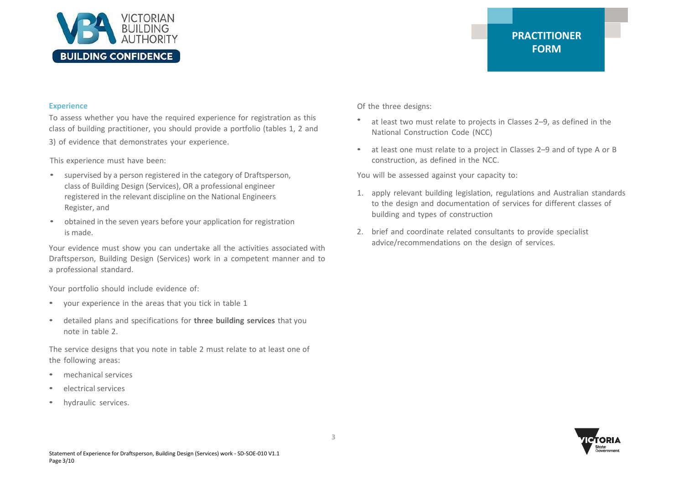

#### **Experience**

To assess whether you have the required experience for registration as this class of building practitioner, you should provide a portfolio (tables 1, 2 and 3) of evidence that demonstrates your experience.

This experience must have been:

- supervised by a person registered in the category of Draftsperson, class of Building Design (Services), OR a professional engineer registered in the relevant discipline on the National Engineers Register, and
- obtained in the seven years before your application for registration is made.

Your evidence must show you can undertake all the activities associated with Draftsperson, Building Design (Services) work in a competent manner and to a professional standard.

Your portfolio should include evidence of:

- your experience in the areas that you tick in table 1
- detailed plans and specifications for **three building services** that you note in table 2.

The service designs that you note in table 2 must relate to at least one of the following areas:

- mechanical services
- electrical services
- hydraulic services.

Of the three designs:

- at least two must relate to projects in Classes 2–9, as defined in the National Construction Code (NCC)
- at least one must relate to a project in Classes 2–9 and of type A or B construction, as defined in the NCC.

You will be assessed against your capacity to:

- 1. apply relevant building legislation, regulations and Australian standards to the design and documentation of services for different classes of building and types of construction
- 2. brief and coordinate related consultants to provide specialist advice/recommendations on the design of services.

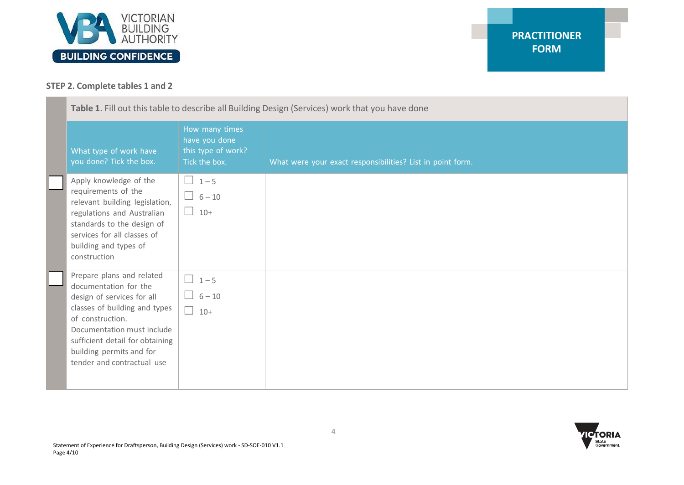

## **STEP 2. Complete tables 1 and 2**

| Table 1. Fill out this table to describe all Building Design (Services) work that you have done |                                                                                                                                                                                                                                                                  |                                                                        |                                                            |
|-------------------------------------------------------------------------------------------------|------------------------------------------------------------------------------------------------------------------------------------------------------------------------------------------------------------------------------------------------------------------|------------------------------------------------------------------------|------------------------------------------------------------|
|                                                                                                 | What type of work have<br>you done? Tick the box.                                                                                                                                                                                                                | How many times<br>have you done<br>this type of work?<br>Tick the box. | What were your exact responsibilities? List in point form. |
|                                                                                                 | Apply knowledge of the<br>requirements of the<br>relevant building legislation,<br>regulations and Australian<br>standards to the design of<br>services for all classes of<br>building and types of<br>construction                                              | $\Box$ 1-5<br>$\Box$ 6 – 10<br>$10 +$<br>$\Box$                        |                                                            |
|                                                                                                 | Prepare plans and related<br>documentation for the<br>design of services for all<br>classes of building and types<br>of construction.<br>Documentation must include<br>sufficient detail for obtaining<br>building permits and for<br>tender and contractual use | $1 - 5$<br>$\blacksquare$<br>$6 - 10$<br>$\Box$<br>$10+$               |                                                            |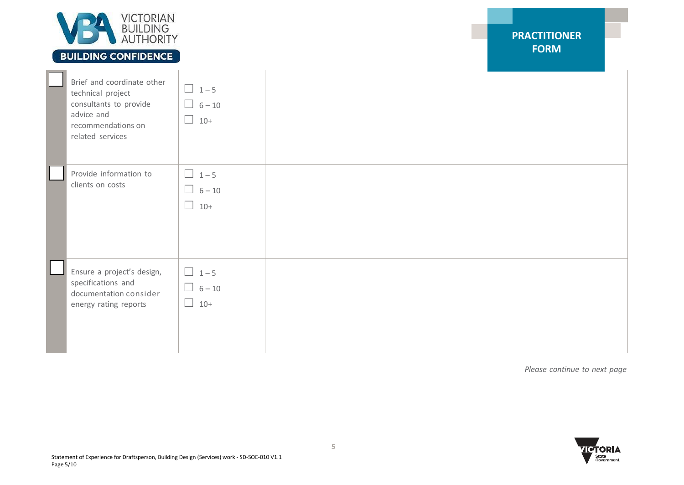

# **BUILDING CONFIDENCE**

| Brief and coordinate other<br>technical project<br>consultants to provide<br>advice and<br>recommendations on<br>related services | $\boxed{1-5}$<br>$\Box$ 6-10<br>$10+$<br>$\Box$ |  |
|-----------------------------------------------------------------------------------------------------------------------------------|-------------------------------------------------|--|
| Provide information to<br>clients on costs                                                                                        | $\Box$ 1-5<br>$\Box$ 6-10<br>$\Box$ 10+         |  |
| Ensure a project's design,<br>specifications and<br>documentation consider<br>energy rating reports                               | $\Box$ 1-5<br>$\Box$ 6-10<br>$10+$<br>$\Box$    |  |

*Please continue to next page*

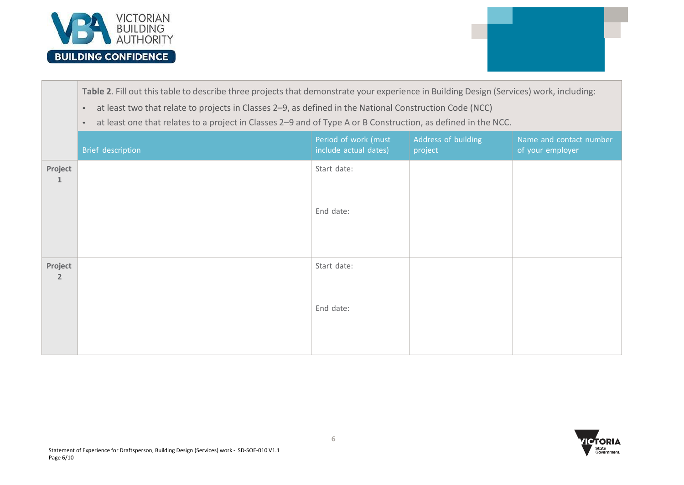

**Table 2**. Fill out thistable to describe three projects that demonstrate your experience in Building Design (Services) work, including:

- at least two that relate to projects in Classes 2–9, as defined in the National Construction Code (NCC)
- at least one that relates to a project in Classes 2–9 and of Type A or B Construction, as defined in the NCC.

|                           | Brief description | Period of work (must<br>include actual dates) | Address of building<br>project | Name and contact number<br>of your employer |
|---------------------------|-------------------|-----------------------------------------------|--------------------------------|---------------------------------------------|
| Project<br>$\mathbf{1}$   |                   | Start date:                                   |                                |                                             |
|                           |                   | End date:                                     |                                |                                             |
| Project<br>$\overline{2}$ |                   | Start date:                                   |                                |                                             |
|                           |                   | End date:                                     |                                |                                             |

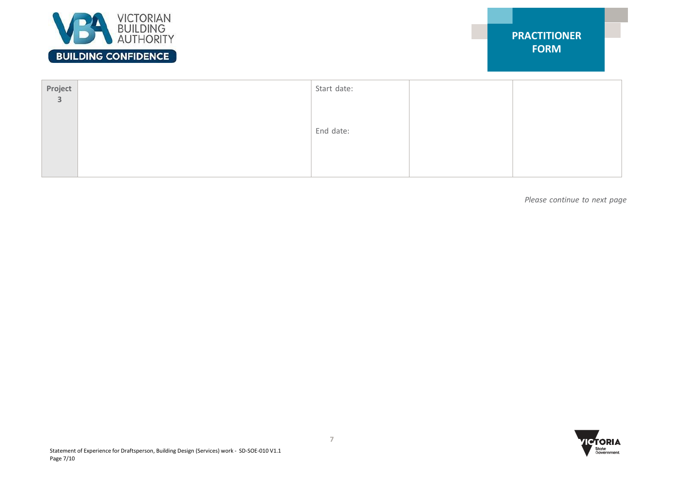

| Project<br>Start date:  |  |
|-------------------------|--|
| $\overline{\mathbf{3}}$ |  |
| End date:               |  |
|                         |  |
|                         |  |

*Please continue to next page*

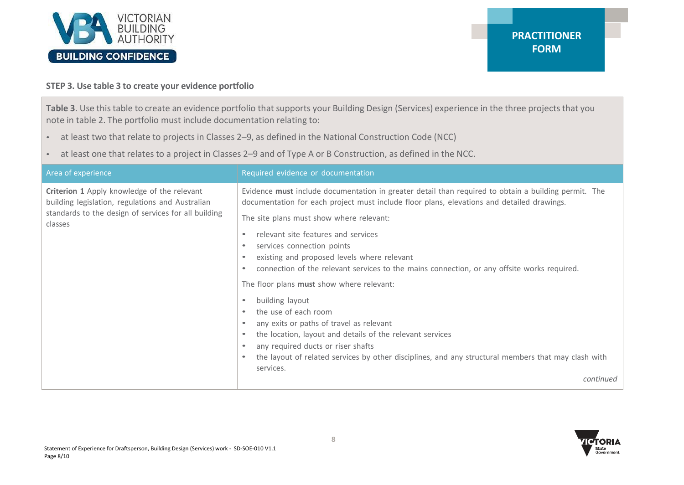

## **STEP 3. Use table 3 to create your evidence portfolio**

**Table 3**. Use thistable to create an evidence portfolio that supports your Building Design (Services) experience in the three projects that you note in table 2. The portfolio must include documentation relating to:

- at least two that relate to projects in Classes 2–9, as defined in the National Construction Code (NCC)
- at least one that relates to a project in Classes 2–9 and of Type A or B Construction, as defined in the NCC.

| Area of experience                                                                                                                                                 | Required evidence or documentation                                                                                                                                                                                                                                                                                                                                                                                                                                                                             |
|--------------------------------------------------------------------------------------------------------------------------------------------------------------------|----------------------------------------------------------------------------------------------------------------------------------------------------------------------------------------------------------------------------------------------------------------------------------------------------------------------------------------------------------------------------------------------------------------------------------------------------------------------------------------------------------------|
| Criterion 1 Apply knowledge of the relevant<br>building legislation, regulations and Australian<br>standards to the design of services for all building<br>classes | Evidence must include documentation in greater detail than required to obtain a building permit. The<br>documentation for each project must include floor plans, elevations and detailed drawings.<br>The site plans must show where relevant:<br>relevant site features and services<br>services connection points<br>existing and proposed levels where relevant<br>connection of the relevant services to the mains connection, or any offsite works required.<br>The floor plans must show where relevant: |
|                                                                                                                                                                    | building layout<br>the use of each room<br>any exits or paths of travel as relevant<br>the location, layout and details of the relevant services<br>$\bullet$<br>any required ducts or riser shafts<br>the layout of related services by other disciplines, and any structural members that may clash with<br>services.<br>continued                                                                                                                                                                           |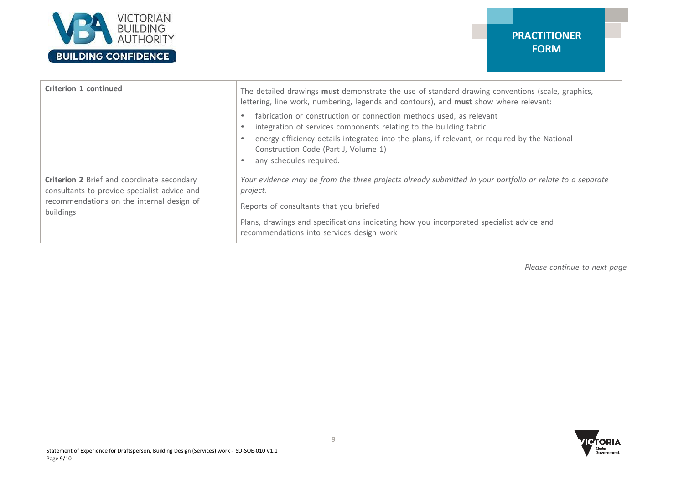

| Criterion 1 continued                                                                                                                                | The detailed drawings must demonstrate the use of standard drawing conventions (scale, graphics,<br>lettering, line work, numbering, legends and contours), and must show where relevant:<br>fabrication or construction or connection methods used, as relevant<br>integration of services components relating to the building fabric<br>energy efficiency details integrated into the plans, if relevant, or required by the National<br>Construction Code (Part J, Volume 1)<br>any schedules required. |
|------------------------------------------------------------------------------------------------------------------------------------------------------|------------------------------------------------------------------------------------------------------------------------------------------------------------------------------------------------------------------------------------------------------------------------------------------------------------------------------------------------------------------------------------------------------------------------------------------------------------------------------------------------------------|
| Criterion 2 Brief and coordinate secondary<br>consultants to provide specialist advice and<br>recommendations on the internal design of<br>buildings | Your evidence may be from the three projects already submitted in your portfolio or relate to a separate<br>project.<br>Reports of consultants that you briefed<br>Plans, drawings and specifications indicating how you incorporated specialist advice and<br>recommendations into services design work                                                                                                                                                                                                   |

*Please continue to next page*